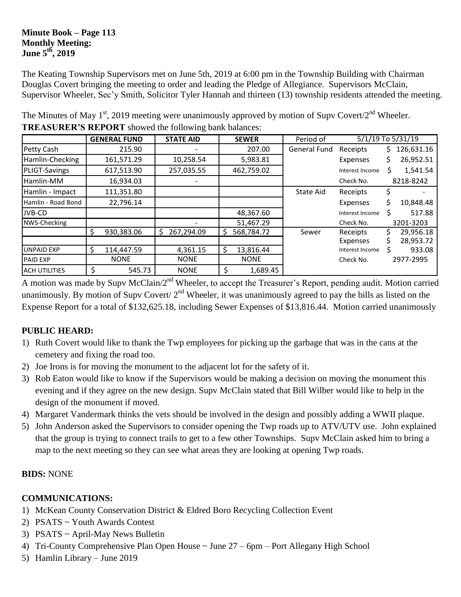### **Minute Book – Page 113 Monthly Meeting: June 5 th, 2019**

The Keating Township Supervisors met on June 5th, 2019 at 6:00 pm in the Township Building with Chairman Douglas Covert bringing the meeting to order and leading the Pledge of Allegiance. Supervisors McClain, Supervisor Wheeler, Sec'y Smith, Solicitor Tyler Hannah and thirteen (13) township residents attended the meeting.

|                      |   | <b>GENERAL FUND</b> | <b>STATE AID</b> |             | <b>SEWER</b> | Period of           | 5/1/19 To 5/31/19 |    |            |
|----------------------|---|---------------------|------------------|-------------|--------------|---------------------|-------------------|----|------------|
| Petty Cash           |   | 215.90              |                  |             | 207.00       | <b>General Fund</b> | Receipts          | S. | 126,631.16 |
| Hamlin-Checking      |   | 161,571.29          | 10,258.54        |             | 5,983.81     |                     | Expenses          |    | 26,952.51  |
| <b>PLIGT-Savings</b> |   | 617,513.90          | 257,035.55       |             | 462,759.02   |                     | Interest Income   |    | 1,541.54   |
| Hamlin-MM            |   | 16,934.03           |                  |             |              |                     | Check No.         |    | 8218-8242  |
| Hamlin - Impact      |   | 111,351.80          |                  |             |              | <b>State Aid</b>    | Receipts          |    |            |
| Hamlin - Road Bond   |   | 22,796.14           |                  |             |              |                     | Expenses          |    | 10,848.48  |
| JVB-CD               |   |                     |                  |             | 48,367.60    |                     | Interest Income   |    | 517.88     |
| NWS-Checking         |   |                     |                  |             | 51,467.29    |                     | Check No.         |    | 3201-3203  |
|                      | S | 930,383.06          | 267,294.09<br>S  | \$,         | 568,784.72   | Sewer               | Receipts          |    | 29,956.18  |
|                      |   |                     |                  |             |              |                     | Expenses          |    | 28,953.72  |
| <b>UNPAID EXP</b>    | S | 114,447.59          | 4,361.15         | \$          | 13,816.44    |                     | Interest Income   |    | 933.08     |
| <b>PAID EXP</b>      |   | <b>NONE</b>         | <b>NONE</b>      | <b>NONE</b> |              |                     | Check No.         |    | 2977-2995  |
| <b>ACH UTILITIES</b> |   | 545.73              | <b>NONE</b>      | \$          | 1,689.45     |                     |                   |    |            |

The Minutes of May  $1<sup>st</sup>$ , 2019 meeting were unanimously approved by motion of Supv Covert/2<sup>nd</sup> Wheeler. **TREASURER'S REPORT** showed the following bank balances:

A motion was made by Supv McClain/2<sup>nd</sup> Wheeler, to accept the Treasurer's Report, pending audit. Motion carried unanimously. By motion of Supv Covert/  $2<sup>nd</sup>$  Wheeler, it was unanimously agreed to pay the bills as listed on the Expense Report for a total of \$132,625.18, including Sewer Expenses of \$13,816.44. Motion carried unanimously

# **PUBLIC HEARD:**

- 1) Ruth Covert would like to thank the Twp employees for picking up the garbage that was in the cans at the cemetery and fixing the road too.
- 2) Joe Irons is for moving the monument to the adjacent lot for the safety of it.
- 3) Rob Eaton would like to know if the Supervisors would be making a decision on moving the monument this evening and if they agree on the new design. Supv McClain stated that Bill Wilber would like to help in the design of the monument if moved.
- 4) Margaret Vandermark thinks the vets should be involved in the design and possibly adding a WWII plaque.
- 5) John Anderson asked the Supervisors to consider opening the Twp roads up to ATV/UTV use. John explained that the group is trying to connect trails to get to a few other Townships. Supv McClain asked him to bring a map to the next meeting so they can see what areas they are looking at opening Twp roads.

### **BIDS:** NONE

### **COMMUNICATIONS:**

- 1) McKean County Conservation District & Eldred Boro Recycling Collection Event
- 2) PSATS ~ Youth Awards Contest
- 3) PSATS  $\sim$  April-May News Bulletin
- 4) Tri-County Comprehensive Plan Open House ~ June 27 6pm Port Allegany High School
- 5) Hamlin Library June 2019